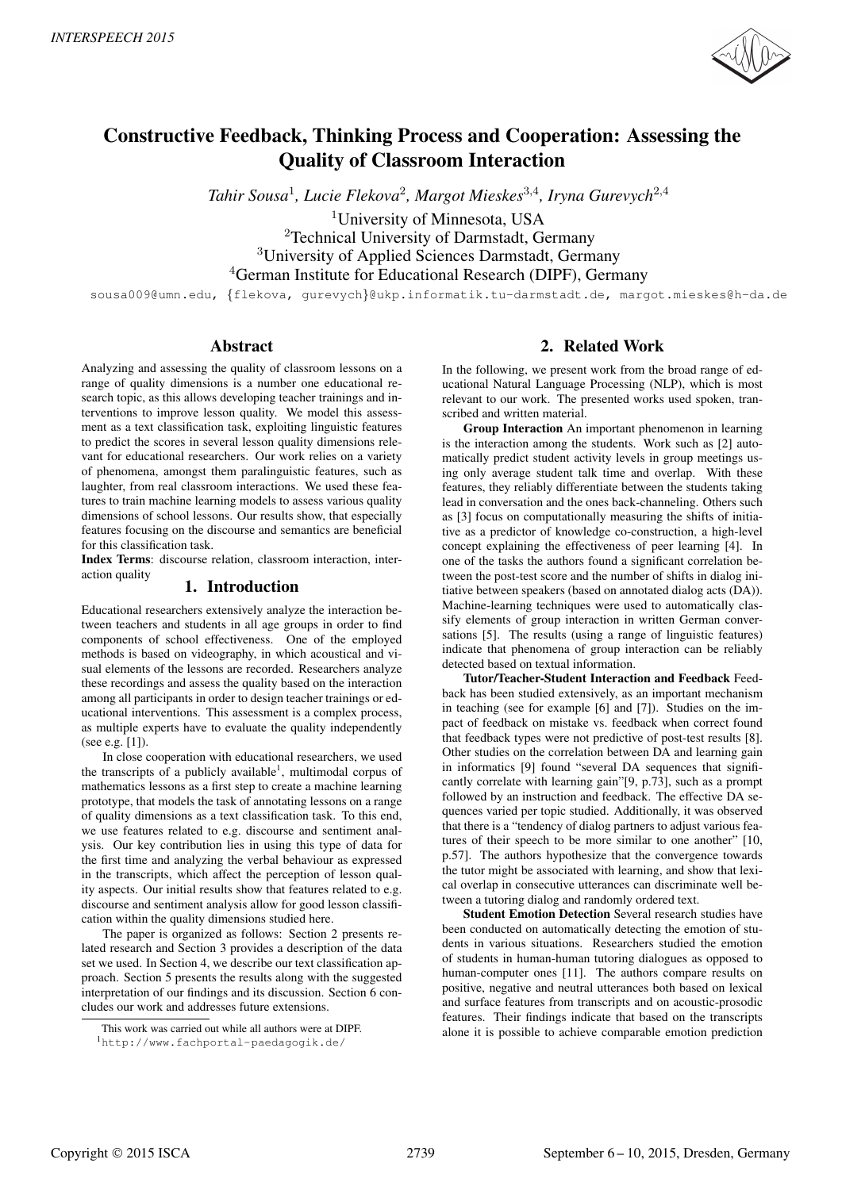

# Constructive Feedback, Thinking Process and Cooperation: Assessing the Quality of Classroom Interaction

*Tahir Sousa*<sup>1</sup> *, Lucie Flekova*<sup>2</sup> *, Margot Mieskes*<sup>3</sup>,<sup>4</sup> *, Iryna Gurevych*<sup>2</sup>,<sup>4</sup>

<sup>1</sup>University of Minnesota, USA

<sup>2</sup>Technical University of Darmstadt, Germany <sup>3</sup>University of Applied Sciences Darmstadt, Germany <sup>4</sup>German Institute for Educational Research (DIPF), Germany

sousa009@umn.edu, {flekova, gurevych}@ukp.informatik.tu-darmstadt.de, margot.mieskes@h-da.de

# Abstract

Analyzing and assessing the quality of classroom lessons on a range of quality dimensions is a number one educational research topic, as this allows developing teacher trainings and interventions to improve lesson quality. We model this assessment as a text classification task, exploiting linguistic features to predict the scores in several lesson quality dimensions relevant for educational researchers. Our work relies on a variety of phenomena, amongst them paralinguistic features, such as laughter, from real classroom interactions. We used these features to train machine learning models to assess various quality dimensions of school lessons. Our results show, that especially features focusing on the discourse and semantics are beneficial for this classification task.

Index Terms: discourse relation, classroom interaction, interaction quality

# 1. Introduction

Educational researchers extensively analyze the interaction between teachers and students in all age groups in order to find components of school effectiveness. One of the employed methods is based on videography, in which acoustical and visual elements of the lessons are recorded. Researchers analyze these recordings and assess the quality based on the interaction among all participants in order to design teacher trainings or educational interventions. This assessment is a complex process, as multiple experts have to evaluate the quality independently (see e.g. [1]).

In close cooperation with educational researchers, we used the transcripts of a publicly available<sup>1</sup>, multimodal corpus of mathematics lessons as a first step to create a machine learning prototype, that models the task of annotating lessons on a range of quality dimensions as a text classification task. To this end, we use features related to e.g. discourse and sentiment analysis. Our key contribution lies in using this type of data for the first time and analyzing the verbal behaviour as expressed in the transcripts, which affect the perception of lesson quality aspects. Our initial results show that features related to e.g. discourse and sentiment analysis allow for good lesson classification within the quality dimensions studied here.

The paper is organized as follows: Section 2 presents related research and Section 3 provides a description of the data set we used. In Section 4, we describe our text classification approach. Section 5 presents the results along with the suggested interpretation of our findings and its discussion. Section 6 concludes our work and addresses future extensions.

# 2. Related Work

In the following, we present work from the broad range of educational Natural Language Processing (NLP), which is most relevant to our work. The presented works used spoken, transcribed and written material.

Group Interaction An important phenomenon in learning is the interaction among the students. Work such as [2] automatically predict student activity levels in group meetings using only average student talk time and overlap. With these features, they reliably differentiate between the students taking lead in conversation and the ones back-channeling. Others such as [3] focus on computationally measuring the shifts of initiative as a predictor of knowledge co-construction, a high-level concept explaining the effectiveness of peer learning [4]. In one of the tasks the authors found a significant correlation between the post-test score and the number of shifts in dialog initiative between speakers (based on annotated dialog acts (DA)). Machine-learning techniques were used to automatically classify elements of group interaction in written German conversations [5]. The results (using a range of linguistic features) indicate that phenomena of group interaction can be reliably detected based on textual information.

Tutor/Teacher-Student Interaction and Feedback Feedback has been studied extensively, as an important mechanism in teaching (see for example [6] and [7]). Studies on the impact of feedback on mistake vs. feedback when correct found that feedback types were not predictive of post-test results [8]. Other studies on the correlation between DA and learning gain in informatics [9] found "several DA sequences that significantly correlate with learning gain"[9, p.73], such as a prompt followed by an instruction and feedback. The effective DA sequences varied per topic studied. Additionally, it was observed that there is a "tendency of dialog partners to adjust various features of their speech to be more similar to one another" [10, p.57]. The authors hypothesize that the convergence towards the tutor might be associated with learning, and show that lexical overlap in consecutive utterances can discriminate well between a tutoring dialog and randomly ordered text.

Student Emotion Detection Several research studies have been conducted on automatically detecting the emotion of students in various situations. Researchers studied the emotion of students in human-human tutoring dialogues as opposed to human-computer ones [11]. The authors compare results on positive, negative and neutral utterances both based on lexical and surface features from transcripts and on acoustic-prosodic features. Their findings indicate that based on the transcripts alone it is possible to achieve comparable emotion prediction

This work was carried out while all authors were at DIPF.

<sup>1</sup>http://www.fachportal-paedagogik.de/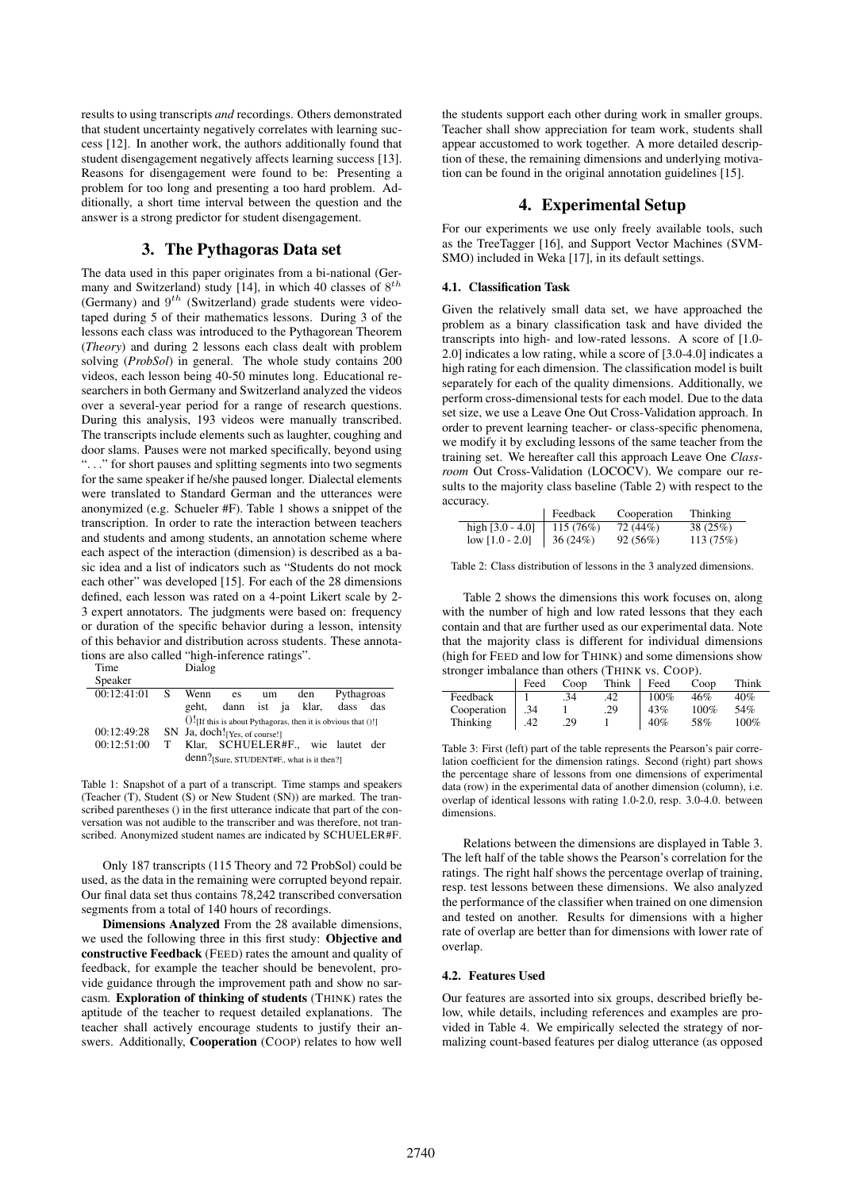results to using transcripts *and* recordings. Others demonstrated that student uncertainty negatively correlates with learning success [12]. In another work, the authors additionally found that student disengagement negatively affects learning success [13]. Reasons for disengagement were found to be: Presenting a problem for too long and presenting a too hard problem. Additionally, a short time interval between the question and the answer is a strong predictor for student disengagement.

# 3. The Pythagoras Data set

The data used in this paper originates from a bi-national (Germany and Switzerland) study [14], in which 40 classes of  $8^{th}$ (Germany) and  $9^{th}$  (Switzerland) grade students were videotaped during 5 of their mathematics lessons. During 3 of the lessons each class was introduced to the Pythagorean Theorem (*Theory*) and during 2 lessons each class dealt with problem solving (*ProbSol*) in general. The whole study contains 200 videos, each lesson being 40-50 minutes long. Educational researchers in both Germany and Switzerland analyzed the videos over a several-year period for a range of research questions. During this analysis, 193 videos were manually transcribed. The transcripts include elements such as laughter, coughing and door slams. Pauses were not marked specifically, beyond using ". . ." for short pauses and splitting segments into two segments for the same speaker if he/she paused longer. Dialectal elements were translated to Standard German and the utterances were anonymized (e.g. Schueler #F). Table 1 shows a snippet of the transcription. In order to rate the interaction between teachers and students and among students, an annotation scheme where each aspect of the interaction (dimension) is described as a basic idea and a list of indicators such as "Students do not mock each other" was developed [15]. For each of the 28 dimensions defined, each lesson was rated on a 4-point Likert scale by 2- 3 expert annotators. The judgments were based on: frequency or duration of the specific behavior during a lesson, intensity of this behavior and distribution across students. These annotations are also called "high-inference ratings".

| Time                     |             | Dialog                                                             |                   |    |  |                                   |            |  |
|--------------------------|-------------|--------------------------------------------------------------------|-------------------|----|--|-----------------------------------|------------|--|
| Speaker                  |             |                                                                    |                   |    |  |                                   |            |  |
| $\overline{00:}12:41:01$ | - S         | Wenn                                                               | es                | um |  | den                               | Pythagroas |  |
|                          |             | geht.                                                              | dann ist ja klar, |    |  |                                   | dass das   |  |
|                          |             | $()!$ [If this is about Pythagoras, then it is obvious that $()!]$ |                   |    |  |                                   |            |  |
| 00:12:49:28              |             | SN Ja, doch! [Yes, of course!]                                     |                   |    |  |                                   |            |  |
| 00:12:51:00              | $\mathbf T$ |                                                                    |                   |    |  | Klar, SCHUELER#F., wie lautet der |            |  |
|                          |             | denn?[Sure, STUDENT#F., what is it then?]                          |                   |    |  |                                   |            |  |

Table 1: Snapshot of a part of a transcript. Time stamps and speakers (Teacher (T), Student (S) or New Student (SN)) are marked. The transcribed parentheses () in the first utterance indicate that part of the conversation was not audible to the transcriber and was therefore, not transcribed. Anonymized student names are indicated by SCHUELER#F.

Only 187 transcripts (115 Theory and 72 ProbSol) could be used, as the data in the remaining were corrupted beyond repair. Our final data set thus contains 78,242 transcribed conversation segments from a total of 140 hours of recordings.

Dimensions Analyzed From the 28 available dimensions, we used the following three in this first study: Objective and constructive Feedback (FEED) rates the amount and quality of feedback, for example the teacher should be benevolent, provide guidance through the improvement path and show no sarcasm. Exploration of thinking of students (THINK) rates the aptitude of the teacher to request detailed explanations. The teacher shall actively encourage students to justify their answers. Additionally, Cooperation (COOP) relates to how well the students support each other during work in smaller groups. Teacher shall show appreciation for team work, students shall appear accustomed to work together. A more detailed description of these, the remaining dimensions and underlying motivation can be found in the original annotation guidelines [15].

### 4. Experimental Setup

For our experiments we use only freely available tools, such as the TreeTagger [16], and Support Vector Machines (SVM-SMO) included in Weka [17], in its default settings.

#### 4.1. Classification Task

Given the relatively small data set, we have approached the problem as a binary classification task and have divided the transcripts into high- and low-rated lessons. A score of [1.0- 2.0] indicates a low rating, while a score of [3.0-4.0] indicates a high rating for each dimension. The classification model is built separately for each of the quality dimensions. Additionally, we perform cross-dimensional tests for each model. Due to the data set size, we use a Leave One Out Cross-Validation approach. In order to prevent learning teacher- or class-specific phenomena, we modify it by excluding lessons of the same teacher from the training set. We hereafter call this approach Leave One *Classroom* Out Cross-Validation (LOCOCV). We compare our results to the majority class baseline (Table 2) with respect to the accuracy.

|                    | Feedback | Cooperation | Thinking |
|--------------------|----------|-------------|----------|
| high $[3.0 - 4.0]$ | 115(76%) | 72 (44%)    | 38 (25%) |
| $low [1.0 - 2.0]$  | 36(24%)  | 92(56%)     | 113(75%) |

Table 2: Class distribution of lessons in the 3 analyzed dimensions.

Table 2 shows the dimensions this work focuses on, along with the number of high and low rated lessons that they each contain and that are further used as our experimental data. Note that the majority class is different for individual dimensions (high for FEED and low for THINK) and some dimensions show stronger imbalance than others (THINK vs. COOP).

| Feed | Coop |     | Feed    | Coop  | Think |  |
|------|------|-----|---------|-------|-------|--|
|      | .34  | .42 | $100\%$ | 46%   | 40%   |  |
| .34  |      | .29 | 43%     | 100%  | 54%   |  |
| .42  | .29  |     | 40%     | 58%   | 100%  |  |
|      |      |     |         | Think |       |  |

Table 3: First (left) part of the table represents the Pearson's pair correlation coefficient for the dimension ratings. Second (right) part shows the percentage share of lessons from one dimensions of experimental data (row) in the experimental data of another dimension (column), i.e. overlap of identical lessons with rating 1.0-2.0, resp. 3.0-4.0. between dimensions.

Relations between the dimensions are displayed in Table 3. The left half of the table shows the Pearson's correlation for the ratings. The right half shows the percentage overlap of training, resp. test lessons between these dimensions. We also analyzed the performance of the classifier when trained on one dimension and tested on another. Results for dimensions with a higher rate of overlap are better than for dimensions with lower rate of overlap.

#### 4.2. Features Used

Our features are assorted into six groups, described briefly below, while details, including references and examples are provided in Table 4. We empirically selected the strategy of normalizing count-based features per dialog utterance (as opposed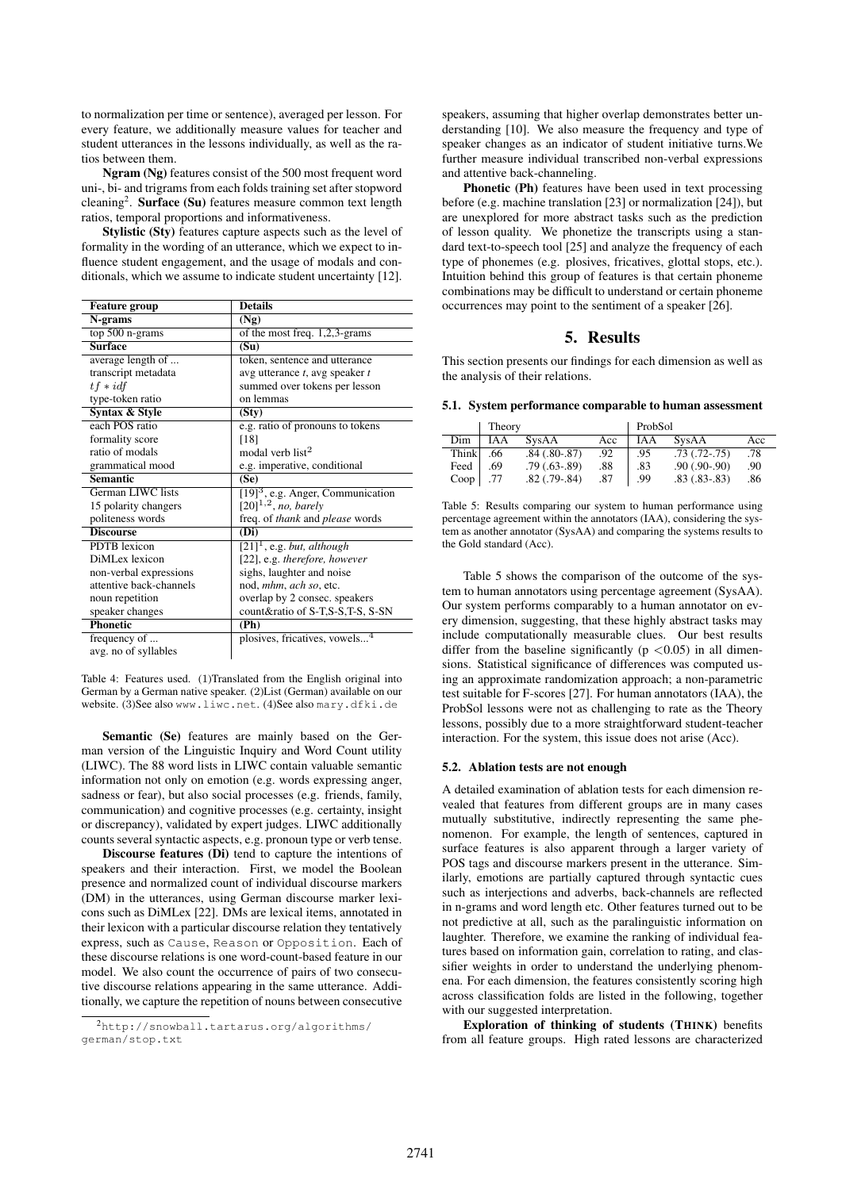to normalization per time or sentence), averaged per lesson. For every feature, we additionally measure values for teacher and student utterances in the lessons individually, as well as the ratios between them.

Ngram (Ng) features consist of the 500 most frequent word uni-, bi- and trigrams from each folds training set after stopword cleaning<sup>2</sup>. Surface (Su) features measure common text length ratios, temporal proportions and informativeness.

Stylistic (Sty) features capture aspects such as the level of formality in the wording of an utterance, which we expect to influence student engagement, and the usage of modals and conditionals, which we assume to indicate student uncertainty [12].

| <b>Feature group</b>    | <b>Details</b>                                  |
|-------------------------|-------------------------------------------------|
| N-grams                 | (Ng)                                            |
| top $500$ n-grams       | of the most freq. 1,2,3-grams                   |
| <b>Surface</b>          | (S <sub>u</sub> )                               |
| average length of       | token, sentence and utterance                   |
| transcript metadata     | avg utterance $t$ , avg speaker $t$             |
| $tf * idf$              | summed over tokens per lesson                   |
| type-token ratio        | on lemmas                                       |
| Syntax & Style          | (Sty)                                           |
| each POS ratio          | e.g. ratio of pronouns to tokens                |
| formality score         | [18]                                            |
| ratio of modals         | modal verb list <sup>2</sup>                    |
| grammatical mood        | e.g. imperative, conditional                    |
| <b>Semantic</b>         | (Se)                                            |
| German LIWC lists       | $[19]$ <sup>3</sup> , e.g. Anger, Communication |
| 15 polarity changers    | $[20]^{1,2}$ , no, barely                       |
| politeness words        | freq. of <i>thank</i> and <i>please</i> words   |
| <b>Discourse</b>        | (Di)                                            |
| <b>PDTB</b> lexicon     | $[21]$ <sup>1</sup> , e.g. but, although        |
| DiMLex lexicon          | [22], e.g. therefore, however                   |
| non-verbal expressions  | sighs, laughter and noise                       |
| attentive back-channels | nod, mhm, ach so, etc.                          |
| noun repetition         | overlap by 2 consec. speakers                   |
| speaker changes         | count∶ of S-T,S-S,T-S, S-SN                     |
| <b>Phonetic</b>         | (Ph)                                            |
| frequency of            | plosives, fricatives, vowels <sup>4</sup>       |
| avg. no of syllables    |                                                 |

Table 4: Features used. (1)Translated from the English original into German by a German native speaker. (2)List (German) available on our website. (3)See also www.liwc.net. (4)See also mary.dfki.de

Semantic (Se) features are mainly based on the German version of the Linguistic Inquiry and Word Count utility (LIWC). The 88 word lists in LIWC contain valuable semantic information not only on emotion (e.g. words expressing anger, sadness or fear), but also social processes (e.g. friends, family, communication) and cognitive processes (e.g. certainty, insight or discrepancy), validated by expert judges. LIWC additionally counts several syntactic aspects, e.g. pronoun type or verb tense.

Discourse features (Di) tend to capture the intentions of speakers and their interaction. First, we model the Boolean presence and normalized count of individual discourse markers (DM) in the utterances, using German discourse marker lexicons such as DiMLex [22]. DMs are lexical items, annotated in their lexicon with a particular discourse relation they tentatively express, such as Cause, Reason or Opposition. Each of these discourse relations is one word-count-based feature in our model. We also count the occurrence of pairs of two consecutive discourse relations appearing in the same utterance. Additionally, we capture the repetition of nouns between consecutive

speakers, assuming that higher overlap demonstrates better understanding [10]. We also measure the frequency and type of speaker changes as an indicator of student initiative turns.We further measure individual transcribed non-verbal expressions and attentive back-channeling.

Phonetic (Ph) features have been used in text processing before (e.g. machine translation [23] or normalization [24]), but are unexplored for more abstract tasks such as the prediction of lesson quality. We phonetize the transcripts using a standard text-to-speech tool [25] and analyze the frequency of each type of phonemes (e.g. plosives, fricatives, glottal stops, etc.). Intuition behind this group of features is that certain phoneme combinations may be difficult to understand or certain phoneme occurrences may point to the sentiment of a speaker [26].

### 5. Results

This section presents our findings for each dimension as well as the analysis of their relations.

5.1. System performance comparable to human assessment

|       | Theory     |                   |     | ProbSol |                   |     |  |
|-------|------------|-------------------|-----|---------|-------------------|-----|--|
| Dim   | <b>IAA</b> | SysAA             | Acc | IA A    | SysAA             | Acc |  |
| Think | .66        | $.84(.80-.87)$    | .92 | .95     | $.73$ $(.72-.75)$ | .78 |  |
| Feed  | .69        | $.79(.63-.89)$    | .88 | .83     | $.90(.90-.90)$    | .90 |  |
| Coop  | .77        | $.82$ $(.79-.84)$ | .87 | .99     | $.83(.83-.83)$    | .86 |  |

Table 5: Results comparing our system to human performance using percentage agreement within the annotators (IAA), considering the system as another annotator (SysAA) and comparing the systems results to the Gold standard (Acc).

Table 5 shows the comparison of the outcome of the system to human annotators using percentage agreement (SysAA). Our system performs comparably to a human annotator on every dimension, suggesting, that these highly abstract tasks may include computationally measurable clues. Our best results differ from the baseline significantly ( $p < 0.05$ ) in all dimensions. Statistical significance of differences was computed using an approximate randomization approach; a non-parametric test suitable for F-scores [27]. For human annotators (IAA), the ProbSol lessons were not as challenging to rate as the Theory lessons, possibly due to a more straightforward student-teacher interaction. For the system, this issue does not arise (Acc).

#### 5.2. Ablation tests are not enough

A detailed examination of ablation tests for each dimension revealed that features from different groups are in many cases mutually substitutive, indirectly representing the same phenomenon. For example, the length of sentences, captured in surface features is also apparent through a larger variety of POS tags and discourse markers present in the utterance. Similarly, emotions are partially captured through syntactic cues such as interjections and adverbs, back-channels are reflected in n-grams and word length etc. Other features turned out to be not predictive at all, such as the paralinguistic information on laughter. Therefore, we examine the ranking of individual features based on information gain, correlation to rating, and classifier weights in order to understand the underlying phenomena. For each dimension, the features consistently scoring high across classification folds are listed in the following, together with our suggested interpretation.

Exploration of thinking of students (THINK) benefits from all feature groups. High rated lessons are characterized

<sup>2</sup>http://snowball.tartarus.org/algorithms/ german/stop.txt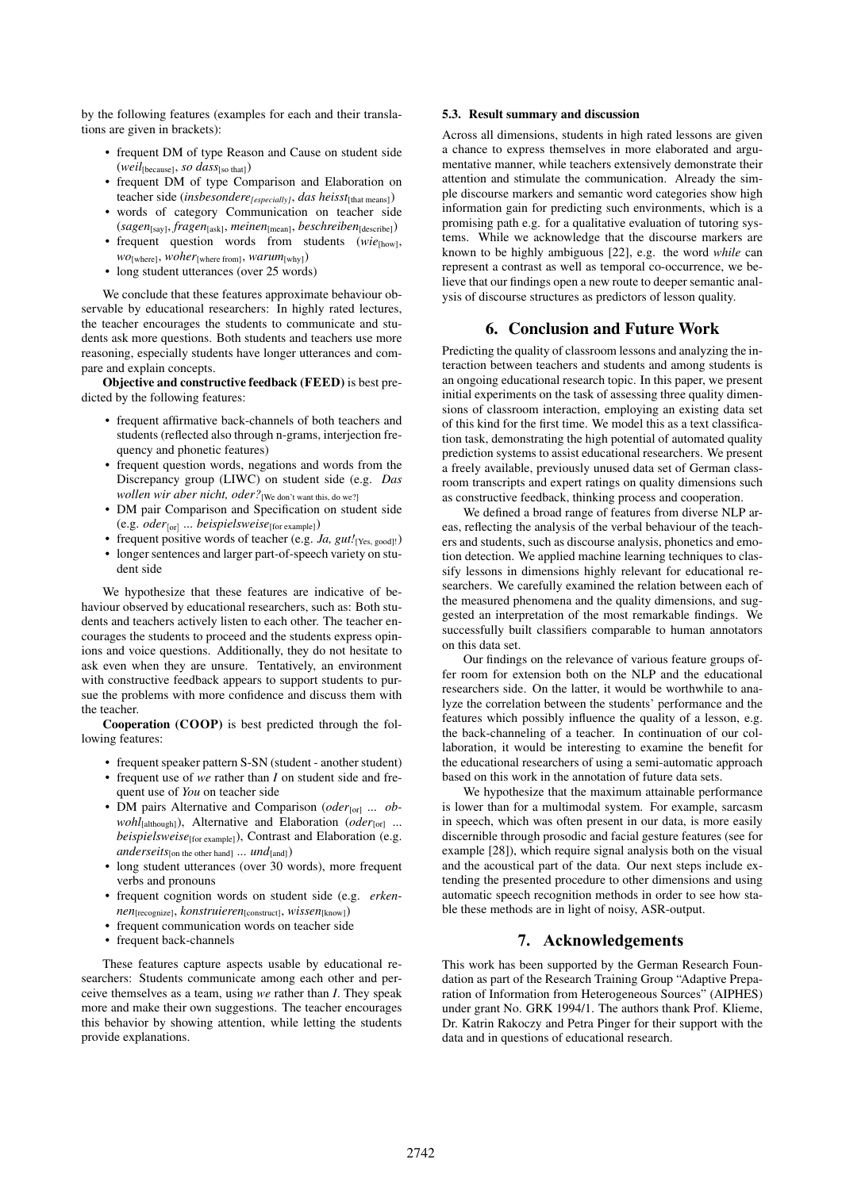by the following features (examples for each and their translations are given in brackets):

- frequent DM of type Reason and Cause on student side (*weil*[because], *so dass*[so that])
- frequent DM of type Comparison and Elaboration on teacher side (*insbesondere[especially]*, *das heisst*[that means])
- words of category Communication on teacher side (*sagen*[say], *fragen*[ask], *meinen*[mean], *beschreiben*[describe])
- frequent question words from students (*wie*[how], *wo*[where], *woher*[where from], *warum*[why])
- long student utterances (over 25 words)

We conclude that these features approximate behaviour observable by educational researchers: In highly rated lectures, the teacher encourages the students to communicate and students ask more questions. Both students and teachers use more reasoning, especially students have longer utterances and compare and explain concepts.

Objective and constructive feedback (FEED) is best predicted by the following features:

- frequent affirmative back-channels of both teachers and students (reflected also through n-grams, interjection frequency and phonetic features)
- frequent question words, negations and words from the Discrepancy group (LIWC) on student side (e.g. *Das wollen wir aber nicht, oder?* [We don't want this, do we?]
- DM pair Comparison and Specification on student side (e.g. *oder*[or] ... *beispielsweise*[for example])
- frequent positive words of teacher (e.g. *Ja, gut!*[Yes, good]!) • longer sentences and larger part-of-speech variety on student side

We hypothesize that these features are indicative of behaviour observed by educational researchers, such as: Both students and teachers actively listen to each other. The teacher encourages the students to proceed and the students express opinions and voice questions. Additionally, they do not hesitate to ask even when they are unsure. Tentatively, an environment with constructive feedback appears to support students to pursue the problems with more confidence and discuss them with the teacher.

Cooperation (COOP) is best predicted through the following features:

- frequent speaker pattern S-SN (student another student)
- frequent use of *we* rather than *I* on student side and frequent use of *You* on teacher side
- DM pairs Alternative and Comparison (*oder*<sub>[or]</sub> ... *obwohl*[although]), Alternative and Elaboration (*oder*[or] ... *beispielsweise*[for example]), Contrast and Elaboration (e.g. *anderseits*[on the other hand]  $\ldots$  *und*[and])
- long student utterances (over 30 words), more frequent verbs and pronouns
- frequent cognition words on student side (e.g. *erkennen*[recognize], *konstruieren*[construct], *wissen*[know])
- frequent communication words on teacher side
- frequent back-channels

These features capture aspects usable by educational researchers: Students communicate among each other and perceive themselves as a team, using *we* rather than *I*. They speak more and make their own suggestions. The teacher encourages this behavior by showing attention, while letting the students provide explanations.

### 5.3. Result summary and discussion

Across all dimensions, students in high rated lessons are given a chance to express themselves in more elaborated and argumentative manner, while teachers extensively demonstrate their attention and stimulate the communication. Already the simple discourse markers and semantic word categories show high information gain for predicting such environments, which is a promising path e.g. for a qualitative evaluation of tutoring systems. While we acknowledge that the discourse markers are known to be highly ambiguous [22], e.g. the word *while* can represent a contrast as well as temporal co-occurrence, we believe that our findings open a new route to deeper semantic analysis of discourse structures as predictors of lesson quality.

### 6. Conclusion and Future Work

Predicting the quality of classroom lessons and analyzing the interaction between teachers and students and among students is an ongoing educational research topic. In this paper, we present initial experiments on the task of assessing three quality dimensions of classroom interaction, employing an existing data set of this kind for the first time. We model this as a text classification task, demonstrating the high potential of automated quality prediction systems to assist educational researchers. We present a freely available, previously unused data set of German classroom transcripts and expert ratings on quality dimensions such as constructive feedback, thinking process and cooperation.

We defined a broad range of features from diverse NLP areas, reflecting the analysis of the verbal behaviour of the teachers and students, such as discourse analysis, phonetics and emotion detection. We applied machine learning techniques to classify lessons in dimensions highly relevant for educational researchers. We carefully examined the relation between each of the measured phenomena and the quality dimensions, and suggested an interpretation of the most remarkable findings. We successfully built classifiers comparable to human annotators on this data set.

Our findings on the relevance of various feature groups offer room for extension both on the NLP and the educational researchers side. On the latter, it would be worthwhile to analyze the correlation between the students' performance and the features which possibly influence the quality of a lesson, e.g. the back-channeling of a teacher. In continuation of our collaboration, it would be interesting to examine the benefit for the educational researchers of using a semi-automatic approach based on this work in the annotation of future data sets.

We hypothesize that the maximum attainable performance is lower than for a multimodal system. For example, sarcasm in speech, which was often present in our data, is more easily discernible through prosodic and facial gesture features (see for example [28]), which require signal analysis both on the visual and the acoustical part of the data. Our next steps include extending the presented procedure to other dimensions and using automatic speech recognition methods in order to see how stable these methods are in light of noisy, ASR-output.

# **7. Acknowledgements**

This work has been supported by the German Research Foundation as part of the Research Training Group "Adaptive Preparation of Information from Heterogeneous Sources" (AIPHES) under grant No. GRK 1994/1. The authors thank Prof. Klieme, Dr. Katrin Rakoczy and Petra Pinger for their support with the data and in questions of educational research.